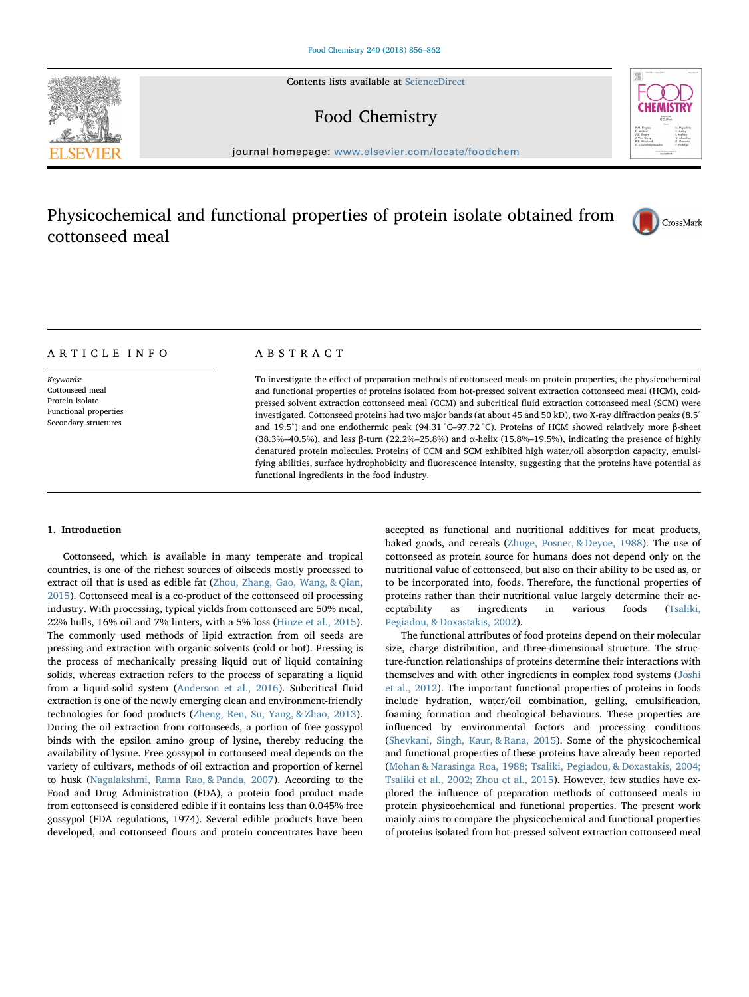Contents lists available at [ScienceDirect](http://www.sciencedirect.com/science/journal/03088146)

# Food Chemistry



journal homepage: [www.elsevier.com/locate/foodchem](http://www.elsevier.com/locate/foodchem)

# Physicochemical and functional properties of protein isolate obtained from cottonseed meal



# ARTICLE INFO

Keywords: Cottonseed meal Protein isolate Functional properties Secondary structures

# ABSTRACT

To investigate the effect of preparation methods of cottonseed meals on protein properties, the physicochemical and functional properties of proteins isolated from hot-pressed solvent extraction cottonseed meal (HCM), coldpressed solvent extraction cottonseed meal (CCM) and subcritical fluid extraction cottonseed meal (SCM) were investigated. Cottonseed proteins had two major bands (at about 45 and 50 kD), two X-ray diffraction peaks (8.5° and 19.5°) and one endothermic peak (94.31 °C–97.72 °C). Proteins of HCM showed relatively more β-sheet (38.3%–40.5%), and less β-turn (22.2%–25.8%) and α-helix (15.8%–19.5%), indicating the presence of highly denatured protein molecules. Proteins of CCM and SCM exhibited high water/oil absorption capacity, emulsifying abilities, surface hydrophobicity and fluorescence intensity, suggesting that the proteins have potential as functional ingredients in the food industry.

## 1. Introduction

Cottonseed, which is available in many temperate and tropical countries, is one of the richest sources of oilseeds mostly processed to extract oil that is used as edible fat ([Zhou, Zhang, Gao, Wang, & Qian,](#page-6-0) [2015\)](#page-6-0). Cottonseed meal is a co-product of the cottonseed oil processing industry. With processing, typical yields from cottonseed are 50% meal, 22% hulls, 16% oil and 7% linters, with a 5% loss [\(Hinze et al., 2015](#page-6-1)). The commonly used methods of lipid extraction from oil seeds are pressing and extraction with organic solvents (cold or hot). Pressing is the process of mechanically pressing liquid out of liquid containing solids, whereas extraction refers to the process of separating a liquid from a liquid-solid system ([Anderson et al., 2016\)](#page-6-2). Subcritical fluid extraction is one of the newly emerging clean and environment-friendly technologies for food products ([Zheng, Ren, Su, Yang, & Zhao, 2013](#page-6-3)). During the oil extraction from cottonseeds, a portion of free gossypol binds with the epsilon amino group of lysine, thereby reducing the availability of lysine. Free gossypol in cottonseed meal depends on the variety of cultivars, methods of oil extraction and proportion of kernel to husk ([Nagalakshmi, Rama Rao, & Panda, 2007\)](#page-6-4). According to the Food and Drug Administration (FDA), a protein food product made from cottonseed is considered edible if it contains less than 0.045% free gossypol (FDA regulations, 1974). Several edible products have been developed, and cottonseed flours and protein concentrates have been

accepted as functional and nutritional additives for meat products, baked goods, and cereals ([Zhuge, Posner, & Deyoe, 1988\)](#page-6-5). The use of cottonseed as protein source for humans does not depend only on the nutritional value of cottonseed, but also on their ability to be used as, or to be incorporated into, foods. Therefore, the functional properties of proteins rather than their nutritional value largely determine their acceptability as ingredients in various foods ([Tsaliki,](#page-6-6) [Pegiadou, & Doxastakis, 2002\)](#page-6-6).

The functional attributes of food proteins depend on their molecular size, charge distribution, and three-dimensional structure. The structure-function relationships of proteins determine their interactions with themselves and with other ingredients in complex food systems [\(Joshi](#page-6-7) [et al., 2012\)](#page-6-7). The important functional properties of proteins in foods include hydration, water/oil combination, gelling, emulsification, foaming formation and rheological behaviours. These properties are influenced by environmental factors and processing conditions ([Shevkani, Singh, Kaur, & Rana, 2015](#page-6-8)). Some of the physicochemical and functional properties of these proteins have already been reported ([Mohan & Narasinga Roa, 1988; Tsaliki, Pegiadou, & Doxastakis, 2004;](#page-6-9) [Tsaliki et al., 2002; Zhou et al., 2015](#page-6-9)). However, few studies have explored the influence of preparation methods of cottonseed meals in protein physicochemical and functional properties. The present work mainly aims to compare the physicochemical and functional properties of proteins isolated from hot-pressed solvent extraction cottonseed meal

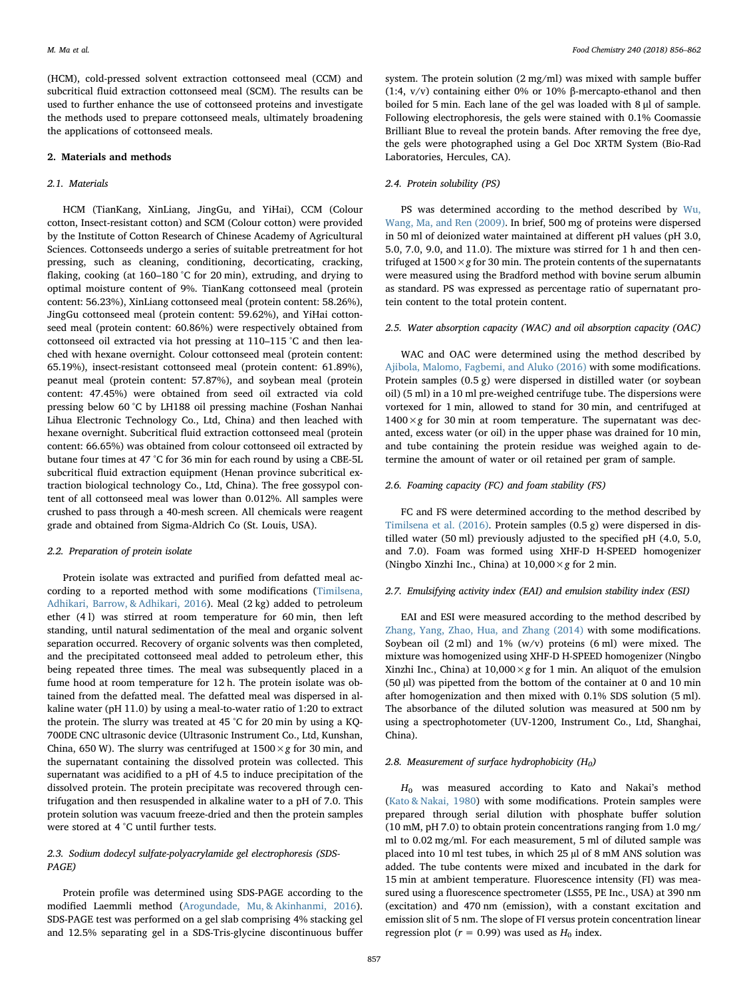(HCM), cold-pressed solvent extraction cottonseed meal (CCM) and subcritical fluid extraction cottonseed meal (SCM). The results can be used to further enhance the use of cottonseed proteins and investigate the methods used to prepare cottonseed meals, ultimately broadening the applications of cottonseed meals.

## 2. Materials and methods

## 2.1. Materials

HCM (TianKang, XinLiang, JingGu, and YiHai), CCM (Colour cotton, Insect-resistant cotton) and SCM (Colour cotton) were provided by the Institute of Cotton Research of Chinese Academy of Agricultural Sciences. Cottonseeds undergo a series of suitable pretreatment for hot pressing, such as cleaning, conditioning, decorticating, cracking, flaking, cooking (at 160–180 °C for 20 min), extruding, and drying to optimal moisture content of 9%. TianKang cottonseed meal (protein content: 56.23%), XinLiang cottonseed meal (protein content: 58.26%), JingGu cottonseed meal (protein content: 59.62%), and YiHai cottonseed meal (protein content: 60.86%) were respectively obtained from cottonseed oil extracted via hot pressing at 110–115 °C and then leached with hexane overnight. Colour cottonseed meal (protein content: 65.19%), insect-resistant cottonseed meal (protein content: 61.89%), peanut meal (protein content: 57.87%), and soybean meal (protein content: 47.45%) were obtained from seed oil extracted via cold pressing below 60 °C by LH188 oil pressing machine (Foshan Nanhai Lihua Electronic Technology Co., Ltd, China) and then leached with hexane overnight. Subcritical fluid extraction cottonseed meal (protein content: 66.65%) was obtained from colour cottonseed oil extracted by butane four times at 47 °C for 36 min for each round by using a CBE-5L subcritical fluid extraction equipment (Henan province subcritical extraction biological technology Co., Ltd, China). The free gossypol content of all cottonseed meal was lower than 0.012%. All samples were crushed to pass through a 40-mesh screen. All chemicals were reagent grade and obtained from Sigma-Aldrich Co (St. Louis, USA).

## 2.2. Preparation of protein isolate

Protein isolate was extracted and purified from defatted meal according to a reported method with some modifications [\(Timilsena,](#page-6-10) [Adhikari, Barrow, & Adhikari, 2016\)](#page-6-10). Meal (2 kg) added to petroleum ether (4 l) was stirred at room temperature for 60 min, then left standing, until natural sedimentation of the meal and organic solvent separation occurred. Recovery of organic solvents was then completed, and the precipitated cottonseed meal added to petroleum ether, this being repeated three times. The meal was subsequently placed in a fume hood at room temperature for 12 h. The protein isolate was obtained from the defatted meal. The defatted meal was dispersed in alkaline water (pH 11.0) by using a meal-to-water ratio of 1:20 to extract the protein. The slurry was treated at 45 °C for 20 min by using a KQ-700DE CNC ultrasonic device (Ultrasonic Instrument Co., Ltd, Kunshan, China, 650 W). The slurry was centrifuged at  $1500 \times g$  for 30 min, and the supernatant containing the dissolved protein was collected. This supernatant was acidified to a pH of 4.5 to induce precipitation of the dissolved protein. The protein precipitate was recovered through centrifugation and then resuspended in alkaline water to a pH of 7.0. This protein solution was vacuum freeze-dried and then the protein samples were stored at 4 °C until further tests.

# 2.3. Sodium dodecyl sulfate-polyacrylamide gel electrophoresis (SDS-PAGE)

Protein profile was determined using SDS-PAGE according to the modified Laemmli method ([Arogundade, Mu, & Akinhanmi, 2016](#page-6-11)). SDS-PAGE test was performed on a gel slab comprising 4% stacking gel and 12.5% separating gel in a SDS-Tris-glycine discontinuous buffer

system. The protein solution (2 mg/ml) was mixed with sample buffer (1:4, v/v) containing either 0% or 10% β-mercapto-ethanol and then boiled for 5 min. Each lane of the gel was loaded with 8 μl of sample. Following electrophoresis, the gels were stained with 0.1% Coomassie Brilliant Blue to reveal the protein bands. After removing the free dye, the gels were photographed using a Gel Doc XRTM System (Bio-Rad Laboratories, Hercules, CA).

## 2.4. Protein solubility (PS)

PS was determined according to the method described by [Wu,](#page-6-12) Wang, [Ma, and Ren \(2009\).](#page-6-12) In brief, 500 mg of proteins were dispersed in 50 ml of deionized water maintained at different pH values (pH 3.0, 5.0, 7.0, 9.0, and 11.0). The mixture was stirred for 1 h and then centrifuged at  $1500 \times g$  for 30 min. The protein contents of the supernatants were measured using the Bradford method with bovine serum albumin as standard. PS was expressed as percentage ratio of supernatant protein content to the total protein content.

#### 2.5. Water absorption capacity (WAC) and oil absorption capacity (OAC)

WAC and OAC were determined using the method described by [Ajibola, Malomo, Fagbemi, and Aluko \(2016\)](#page-6-13) with some modifications. Protein samples (0.5 g) were dispersed in distilled water (or soybean oil) (5 ml) in a 10 ml pre-weighed centrifuge tube. The dispersions were vortexed for 1 min, allowed to stand for 30 min, and centrifuged at  $1400 \times g$  for 30 min at room temperature. The supernatant was decanted, excess water (or oil) in the upper phase was drained for 10 min, and tube containing the protein residue was weighed again to determine the amount of water or oil retained per gram of sample.

## 2.6. Foaming capacity (FC) and foam stability (FS)

FC and FS were determined according to the method described by [Timilsena et al. \(2016\).](#page-6-10) Protein samples (0.5 g) were dispersed in distilled water (50 ml) previously adjusted to the specified pH (4.0, 5.0, and 7.0). Foam was formed using XHF-D H-SPEED homogenizer (Ningbo Xinzhi Inc., China) at  $10,000 \times g$  for 2 min.

## 2.7. Emulsifying activity index (EAI) and emulsion stability index (ESI)

EAI and ESI were measured according to the method described by [Zhang, Yang, Zhao, Hua, and Zhang \(2014\)](#page-6-14) with some modifications. Soybean oil (2 ml) and 1% (w/v) proteins (6 ml) were mixed. The mixture was homogenized using XHF-D H-SPEED homogenizer (Ningbo Xinzhi Inc., China) at  $10,000 \times g$  for 1 min. An aliquot of the emulsion (50 µl) was pipetted from the bottom of the container at 0 and 10 min after homogenization and then mixed with 0.1% SDS solution (5 ml). The absorbance of the diluted solution was measured at 500 nm by using a spectrophotometer (UV-1200, Instrument Co., Ltd, Shanghai, China).

## 2.8. Measurement of surface hydrophobicity  $(H_0)$

 $H_0$  was measured according to Kato and Nakai's method ([Kato & Nakai, 1980\)](#page-6-15) with some modifications. Protein samples were prepared through serial dilution with phosphate buffer solution (10 mM, pH 7.0) to obtain protein concentrations ranging from 1.0 mg/ ml to 0.02 mg/ml. For each measurement, 5 ml of diluted sample was placed into 10 ml test tubes, in which 25 µl of 8 mM ANS solution was added. The tube contents were mixed and incubated in the dark for 15 min at ambient temperature. Fluorescence intensity (FI) was measured using a fluorescence spectrometer (LS55, PE Inc., USA) at 390 nm (excitation) and 470 nm (emission), with a constant excitation and emission slit of 5 nm. The slope of FI versus protein concentration linear regression plot ( $r = 0.99$ ) was used as  $H_0$  index.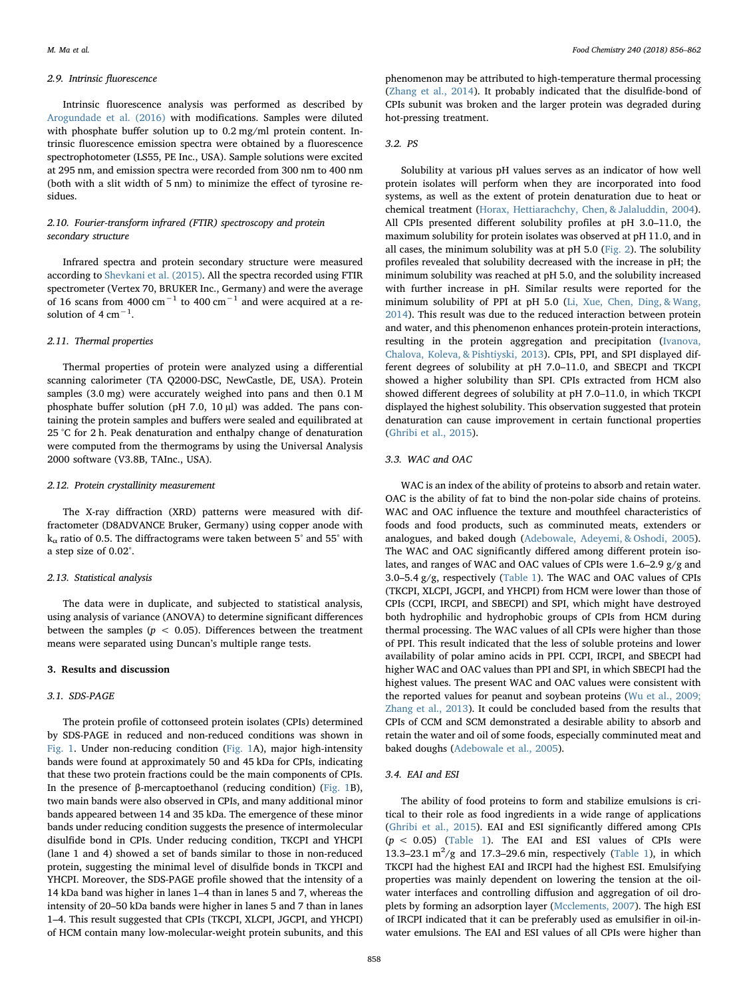#### 2.9. Intrinsic fluorescence

Intrinsic fluorescence analysis was performed as described by [Arogundade et al. \(2016\)](#page-6-11) with modifications. Samples were diluted with phosphate buffer solution up to 0.2 mg/ml protein content. Intrinsic fluorescence emission spectra were obtained by a fluorescence spectrophotometer (LS55, PE Inc., USA). Sample solutions were excited at 295 nm, and emission spectra were recorded from 300 nm to 400 nm (both with a slit width of 5 nm) to minimize the effect of tyrosine residues.

## 2.10. Fourier-transform infrared (FTIR) spectroscopy and protein secondary structure

Infrared spectra and protein secondary structure were measured according to [Shevkani et al. \(2015\).](#page-6-8) All the spectra recorded using FTIR spectrometer (Vertex 70, BRUKER Inc., Germany) and were the average of 16 scans from 4000 cm<sup>-1</sup> to 400 cm<sup>-1</sup> and were acquired at a resolution of 4  $cm^{-1}$ .

#### 2.11. Thermal properties

Thermal properties of protein were analyzed using a differential scanning calorimeter (TA Q2000-DSC, NewCastle, DE, USA). Protein samples (3.0 mg) were accurately weighed into pans and then 0.1 M phosphate buffer solution (pH 7.0, 10 µl) was added. The pans containing the protein samples and buffers were sealed and equilibrated at 25 °C for 2 h. Peak denaturation and enthalpy change of denaturation were computed from the thermograms by using the Universal Analysis 2000 software (V3.8B, TAInc., USA).

## 2.12. Protein crystallinity measurement

The X-ray diffraction (XRD) patterns were measured with diffractometer (D8ADVANCE Bruker, Germany) using copper anode with  $k_{\alpha}$  ratio of 0.5. The diffractograms were taken between 5° and 55° with a step size of 0.02°.

## 2.13. Statistical analysis

The data were in duplicate, and subjected to statistical analysis, using analysis of variance (ANOVA) to determine significant differences between the samples ( $p < 0.05$ ). Differences between the treatment means were separated using Duncan's multiple range tests.

## 3. Results and discussion

#### 3.1. SDS-PAGE

The protein profile of cottonseed protein isolates (CPIs) determined by SDS-PAGE in reduced and non-reduced conditions was shown in [Fig. 1.](#page-3-0) Under non-reducing condition [\(Fig. 1](#page-3-0)A), major high-intensity bands were found at approximately 50 and 45 kDa for CPIs, indicating that these two protein fractions could be the main components of CPIs. In the presence of β-mercaptoethanol (reducing condition) ([Fig. 1B](#page-3-0)), two main bands were also observed in CPIs, and many additional minor bands appeared between 14 and 35 kDa. The emergence of these minor bands under reducing condition suggests the presence of intermolecular disulfide bond in CPIs. Under reducing condition, TKCPI and YHCPI (lane 1 and 4) showed a set of bands similar to those in non-reduced protein, suggesting the minimal level of disulfide bonds in TKCPI and YHCPI. Moreover, the SDS-PAGE profile showed that the intensity of a 14 kDa band was higher in lanes 1–4 than in lanes 5 and 7, whereas the intensity of 20–50 kDa bands were higher in lanes 5 and 7 than in lanes 1–4. This result suggested that CPIs (TKCPI, XLCPI, JGCPI, and YHCPI) of HCM contain many low-molecular-weight protein subunits, and this

phenomenon may be attributed to high-temperature thermal processing ([Zhang et al., 2014\)](#page-6-14). It probably indicated that the disulfide-bond of CPIs subunit was broken and the larger protein was degraded during hot-pressing treatment.

## 3.2. PS

Solubility at various pH values serves as an indicator of how well protein isolates will perform when they are incorporated into food systems, as well as the extent of protein denaturation due to heat or chemical treatment [\(Horax, Hettiarachchy, Chen, & Jalaluddin, 2004](#page-6-16)). All CPIs presented different solubility profiles at pH 3.0–11.0, the maximum solubility for protein isolates was observed at pH 11.0, and in all cases, the minimum solubility was at pH 5.0 [\(Fig. 2](#page-3-1)). The solubility profiles revealed that solubility decreased with the increase in pH; the minimum solubility was reached at pH 5.0, and the solubility increased with further increase in pH. Similar results were reported for the minimum solubility of PPI at pH 5.0 [\(Li, Xue, Chen, Ding, & Wang,](#page-6-17) [2014\)](#page-6-17). This result was due to the reduced interaction between protein and water, and this phenomenon enhances protein-protein interactions, resulting in the protein aggregation and precipitation [\(Ivanova,](#page-6-18) [Chalova, Koleva, & Pishtiyski, 2013\)](#page-6-18). CPIs, PPI, and SPI displayed different degrees of solubility at pH 7.0–11.0, and SBECPI and TKCPI showed a higher solubility than SPI. CPIs extracted from HCM also showed different degrees of solubility at pH 7.0–11.0, in which TKCPI displayed the highest solubility. This observation suggested that protein denaturation can cause improvement in certain functional properties ([Ghribi et al., 2015](#page-6-19)).

## 3.3. WAC and OAC

WAC is an index of the ability of proteins to absorb and retain water. OAC is the ability of fat to bind the non-polar side chains of proteins. WAC and OAC influence the texture and mouthfeel characteristics of foods and food products, such as comminuted meats, extenders or analogues, and baked dough [\(Adebowale, Adeyemi, & Oshodi, 2005](#page-6-20)). The WAC and OAC significantly differed among different protein isolates, and ranges of WAC and OAC values of CPIs were 1.6–2.9 g/g and 3.0–5.4 g/g, respectively [\(Table 1](#page-4-0)). The WAC and OAC values of CPIs (TKCPI, XLCPI, JGCPI, and YHCPI) from HCM were lower than those of CPIs (CCPI, IRCPI, and SBECPI) and SPI, which might have destroyed both hydrophilic and hydrophobic groups of CPIs from HCM during thermal processing. The WAC values of all CPIs were higher than those of PPI. This result indicated that the less of soluble proteins and lower availability of polar amino acids in PPI. CCPI, IRCPI, and SBECPI had higher WAC and OAC values than PPI and SPI, in which SBECPI had the highest values. The present WAC and OAC values were consistent with the reported values for peanut and soybean proteins ([Wu et al., 2009;](#page-6-12) [Zhang et al., 2013\)](#page-6-12). It could be concluded based from the results that CPIs of CCM and SCM demonstrated a desirable ability to absorb and retain the water and oil of some foods, especially comminuted meat and baked doughs [\(Adebowale et al., 2005\)](#page-6-20).

### 3.4. EAI and ESI

The ability of food proteins to form and stabilize emulsions is critical to their role as food ingredients in a wide range of applications ([Ghribi et al., 2015\)](#page-6-19). EAI and ESI significantly differed among CPIs  $(p < 0.05)$  ([Table 1\)](#page-4-0). The EAI and ESI values of CPIs were 13.3–23.1  $\text{m}^2/\text{g}$  and 17.3–29.6 min, respectively ([Table 1](#page-4-0)), in which TKCPI had the highest EAI and IRCPI had the highest ESI. Emulsifying properties was mainly dependent on lowering the tension at the oilwater interfaces and controlling diffusion and aggregation of oil droplets by forming an adsorption layer ([Mcclements, 2007\)](#page-6-21). The high ESI of IRCPI indicated that it can be preferably used as emulsifier in oil-inwater emulsions. The EAI and ESI values of all CPIs were higher than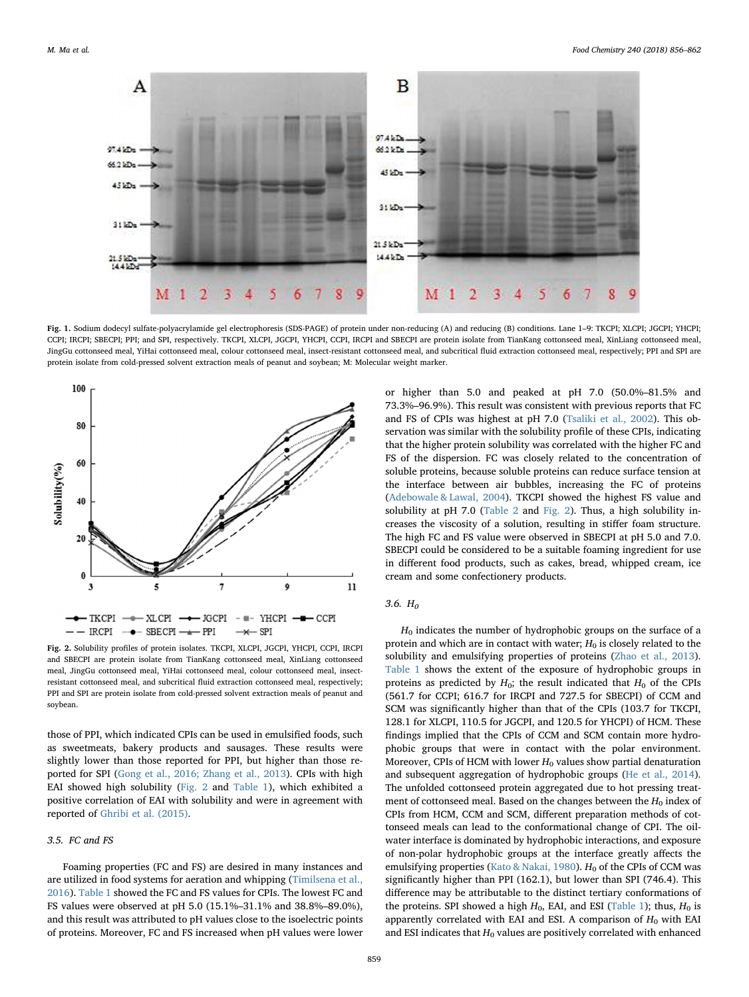<span id="page-3-0"></span>

Fig. 1. Sodium dodecyl sulfate-polyacrylamide gel electrophoresis (SDS-PAGE) of protein under non-reducing (A) and reducing (B) conditions. Lane 1–9: TKCPI; XLCPI; JGCPI; YHCPI; CCPI; IRCPI; SBECPI; PPI; and SPI, respectively. TKCPI, XLCPI, JGCPI, YHCPI, CCPI, IRCPI and SBECPI are protein isolate from TianKang cottonseed meal, XinLiang cottonseed meal, JingGu cottonseed meal, YiHai cottonseed meal, colour cottonseed meal, insect-resistant cottonseed meal, and subcritical fluid extraction cottonseed meal, respectively; PPI and SPI are protein isolate from cold-pressed solvent extraction meals of peanut and soybean; M: Molecular weight marker.

<span id="page-3-1"></span>

Fig. 2. Solubility profiles of protein isolates. TKCPI, XLCPI, JGCPI, YHCPI, CCPI, IRCPI and SBECPI are protein isolate from TianKang cottonseed meal, XinLiang cottonseed meal, JingGu cottonseed meal, YiHai cottonseed meal, colour cottonseed meal, insectresistant cottonseed meal, and subcritical fluid extraction cottonseed meal, respectively; PPI and SPI are protein isolate from cold-pressed solvent extraction meals of peanut and soybean.

those of PPI, which indicated CPIs can be used in emulsified foods, such as sweetmeats, bakery products and sausages. These results were slightly lower than those reported for PPI, but higher than those reported for SPI ([Gong et al., 2016; Zhang et al., 2013\)](#page-6-22). CPIs with high EAI showed high solubility ([Fig. 2](#page-3-1) and [Table 1\)](#page-4-0), which exhibited a positive correlation of EAI with solubility and were in agreement with reported of [Ghribi et al. \(2015\).](#page-6-19)

## 3.5. FC and FS

Foaming properties (FC and FS) are desired in many instances and are utilized in food systems for aeration and whipping ([Timilsena et al.,](#page-6-10) [2016\)](#page-6-10). [Table 1](#page-4-0) showed the FC and FS values for CPIs. The lowest FC and FS values were observed at pH 5.0 (15.1%–31.1% and 38.8%–89.0%), and this result was attributed to pH values close to the isoelectric points of proteins. Moreover, FC and FS increased when pH values were lower

or higher than 5.0 and peaked at pH 7.0 (50.0%–81.5% and 73.3%–96.9%). This result was consistent with previous reports that FC and FS of CPIs was highest at pH 7.0 ([Tsaliki et al., 2002\)](#page-6-6). This observation was similar with the solubility profile of these CPIs, indicating that the higher protein solubility was correlated with the higher FC and FS of the dispersion. FC was closely related to the concentration of soluble proteins, because soluble proteins can reduce surface tension at the interface between air bubbles, increasing the FC of proteins ([Adebowale & Lawal, 2004](#page-6-23)). TKCPI showed the highest FS value and solubility at pH 7.0 ([Table 2](#page-5-0) and [Fig. 2](#page-3-1)). Thus, a high solubility increases the viscosity of a solution, resulting in stiffer foam structure. The high FC and FS value were observed in SBECPI at pH 5.0 and 7.0. SBECPI could be considered to be a suitable foaming ingredient for use in different food products, such as cakes, bread, whipped cream, ice cream and some confectionery products.

### 3.6.  $H_0$

 $H_0$  indicates the number of hydrophobic groups on the surface of a protein and which are in contact with water;  $H_0$  is closely related to the solubility and emulsifying properties of proteins ([Zhao et al., 2013](#page-6-24)). [Table 1](#page-4-0) shows the extent of the exposure of hydrophobic groups in proteins as predicted by  $H_0$ ; the result indicated that  $H_0$  of the CPIs (561.7 for CCPI; 616.7 for IRCPI and 727.5 for SBECPI) of CCM and SCM was significantly higher than that of the CPIs (103.7 for TKCPI, 128.1 for XLCPI, 110.5 for JGCPI, and 120.5 for YHCPI) of HCM. These findings implied that the CPIs of CCM and SCM contain more hydrophobic groups that were in contact with the polar environment. Moreover, CPIs of HCM with lower  $H_0$  values show partial denaturation and subsequent aggregation of hydrophobic groups ([He et al., 2014](#page-6-25)). The unfolded cottonseed protein aggregated due to hot pressing treatment of cottonseed meal. Based on the changes between the  $H_0$  index of CPIs from HCM, CCM and SCM, different preparation methods of cottonseed meals can lead to the conformational change of CPI. The oilwater interface is dominated by hydrophobic interactions, and exposure of non-polar hydrophobic groups at the interface greatly affects the emulsifying properties [\(Kato & Nakai, 1980](#page-6-15)).  $H_0$  of the CPIs of CCM was significantly higher than PPI (162.1), but lower than SPI (746.4). This difference may be attributable to the distinct tertiary conformations of the proteins. SPI showed a high  $H_0$ , EAI, and ESI [\(Table 1\)](#page-4-0); thus,  $H_0$  is apparently correlated with EAI and ESI. A comparison of  $H_0$  with EAI and ESI indicates that  $H_0$  values are positively correlated with enhanced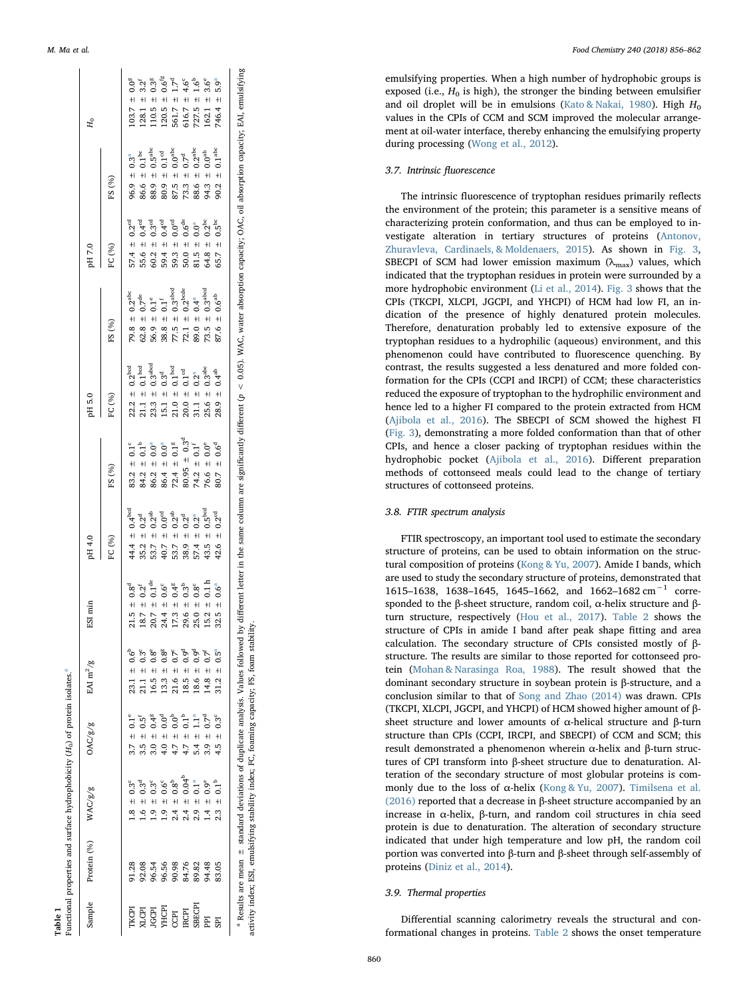Table 1<br>Functional properties and surface hydrophobicity (

Table 1

Functional properties and surface hydrophobicity (H<sub>0</sub>) of protein isolates.

 $H_0$ ) of protein isol[a](#page-4-1)tes.<sup>a</sup>

| Sample                                                   | Protein (%)                                                                                                                                                                                                                                                                                                   | WAC/g/g                                | OAC/g/g                         | EAI $m^2/g$                                | ESI min                 | pH 4.0                          |                                  | pH 5.0                                                                                                                                                                                                                            |                                  | pH 7.0                       |                               | $H_0$                           |
|----------------------------------------------------------|---------------------------------------------------------------------------------------------------------------------------------------------------------------------------------------------------------------------------------------------------------------------------------------------------------------|----------------------------------------|---------------------------------|--------------------------------------------|-------------------------|---------------------------------|----------------------------------|-----------------------------------------------------------------------------------------------------------------------------------------------------------------------------------------------------------------------------------|----------------------------------|------------------------------|-------------------------------|---------------------------------|
|                                                          |                                                                                                                                                                                                                                                                                                               |                                        |                                 |                                            |                         | FC (%)                          | FS (%)                           | FC (%)                                                                                                                                                                                                                            | FS (%)                           | FC (%)                       | FS (%)                        |                                 |
|                                                          |                                                                                                                                                                                                                                                                                                               | $1.8 \pm 0.3^{\circ}$                  | $0.1^{\circ}$<br>$3.7 \pm$      | $23.1 \pm 0.6^{\circ}$                     | $21.5 \pm 0.8^d$        | 44.4 $\pm$ 0.4 <sup>bcd</sup>   | $0.1^{\circ}$<br>$83.2 +$        | $22.2 \pm 0.2^{\rm bcd}$                                                                                                                                                                                                          | 79.8 $\pm$ 0.2 <sup>abc</sup>    | $57.4 \pm 0.2^{\text{cd}}$   | $96.9 \pm 0.3^a$              | $103.7 \pm 0.0^8$               |
| TKCPI<br>XLCPI<br>XLCPI<br>CCPI<br>CCPI<br>CCPI<br>IRCPI | $\begin{array}{l} 2.38 \\ 7.308 \\ 8.08 \\ 9.54 \\ 9.65 \\ 9.65 \\ 9.67 \\ 9.68 \\ 9.67 \\ 9.69 \\ 9.68 \\ 9.63 \\ 9.63 \\ 9.63 \\ 9.63 \\ 9.63 \\ 9.63 \\ 9.63 \\ 9.63 \\ 9.63 \\ 9.63 \\ 9.63 \\ 9.63 \\ 9.63 \\ 9.63 \\ 9.63 \\ 9.63 \\ 9.63 \\ 9.63 \\ 9.63 \\ 9.63 \\ 9.63 \\ 9.63 \\ 9.63 \\ 9.63 \\ 9$ | $0.3^d$<br>$+1$<br>ڣ                   | $0.5^{\text{f}}$<br>$+1$<br>3.5 | $0.3^{\circ}$<br>$21.1 \pm$                | $18.7 \pm 0.2^f$        | $35.2 \pm 0.2^d$                | $\pm 0.1^{\mathrm{b}}$<br>84.2 : | $21.1~\pm~0.1^{\rm{bcd}}$                                                                                                                                                                                                         | $62.8 \pm 0.7^{\text{de}}$       | 55.6 $\pm$ 0.4 <sup>cd</sup> | $86.6~\pm~0.1^{\rm bc}$       | $128.1 = 3.2^f$                 |
|                                                          |                                                                                                                                                                                                                                                                                                               | $0.3^{\circ}$<br>$+1$<br>$\frac{1}{2}$ | $0.4^8$<br>$+1$<br>3.0          | $0.8^e$<br>$+1$<br>16.5                    | $20.7~\pm~0.1^{\rm de}$ | $\pm 0.2^{ab}$<br>53.7          | $0.0^a$<br>$\ddot{+}$<br>86.2    | $23.3 \pm 0.3$ <sup>abcd</sup>                                                                                                                                                                                                    | $0.1^e$<br>$56.9 +$              | $60.2 \pm 0.3^{\rm cd}$      | $\pm 0.5^{\rm abc}$<br>88.9   | $\pm 0.3^8$<br>110.5            |
|                                                          |                                                                                                                                                                                                                                                                                                               | $0.6^c$<br>$+1$<br>$\frac{1}{2}$       | $0.0^{\circ}$<br>$+$<br>4.0     | $0.8^8$<br>$+1$<br>13.3                    | $24.4 \pm 0.6^{\circ}$  | $t = 0.0$ <sup>cd</sup><br>40.7 | $86.4 \pm 0.0^a$                 | $15.1 \pm 0.3^d$                                                                                                                                                                                                                  | $0.1$ <sup>f</sup><br>$38.8 \pm$ | 59.4 $\pm$ 0.4 <sup>cd</sup> | $80.9~\pm~0.1^{\mathrm{cd}}$  | $120.5 \pm 0.6^{fs}$            |
|                                                          |                                                                                                                                                                                                                                                                                                               | $2.4 \pm 0.8^{b}$                      | $_{0.0}^{\circ}$<br>$+1$<br>4.7 | $0.7^{\circ}$<br>$21.6 \pm$                | $17.3 \pm 0.4^8$        | $\pm 0.2^{ab}$<br>53.7          | $72.4 \pm 0.1^8$                 | $21.0 \pm 0.1^{\text{bcd}}$                                                                                                                                                                                                       | $77.5 \pm 0.3^{\text{abcd}}$     | 59.3 $\pm$ 0.0 <sup>cd</sup> | $87.5~\pm~0.0^{\rm abc}$      | 1.7 <sup>d</sup><br>$561.7 \pm$ |
|                                                          |                                                                                                                                                                                                                                                                                                               | $0.04^{b}$<br>$2.4 \pm$                | $\overline{5}$<br>$4.7 \pm$     | 0.9°<br>0<br>$+1$<br>18.5                  | $29.6 \pm 0.3^{b}$      | 38.9 $\pm$ 0.2 <sup>d</sup>     | $80.95 \pm 0.3^d$                | $20.0 \pm 0.1$ <sup>cd</sup>                                                                                                                                                                                                      | 72.1 $\pm$ 0.2 <sup>bcde</sup>   | 50.0 $\pm$ 0.6 <sup>de</sup> | 73.3 $\pm$ 0.7 <sup>d</sup>   | $616.7 \pm 4.6^{\circ}$         |
|                                                          |                                                                                                                                                                                                                                                                                                               | 0.1 <sup>a</sup><br>$2.9 +$            | Ē<br>$5.4 \pm$                  | $\pm 0.9^{\circ}$<br>18.6                  | $25.0 \pm 0.8^c$        | $57.4 \pm 0.2^a$                | $\pm 0.1$ <sup>f</sup><br>74.2   | 31.1 $\pm$ 0.2 <sup>a</sup>                                                                                                                                                                                                       | $89.0 \pm 0.4^{a}$               | $81.5 \pm 0.0^a$             | 88.6 $\pm$ 0.2 <sup>abc</sup> | $727.5 \pm 1.6^b$               |
| PI                                                       |                                                                                                                                                                                                                                                                                                               | $\pm 0.9^e$<br>$\frac{4}{1}$           | $\vec{c}$<br>$+1$<br>3.9        | $0.7^{\circ}$<br>$\ddot{}$<br>14.8         | $15.2 \pm 0.1 h$        | 43.5 $\pm$ 0.5 <sup>bcd</sup>   | $\pm 0.0^e$<br>76.6 :            | $25.6 \pm 0.3^{\rm abc}$                                                                                                                                                                                                          | 73.5 $\pm$ 0.3 <sup>abcd</sup>   | 64.8 $\pm$ 0.2 <sup>bc</sup> | 94.3 $\pm 0.0^{ab}$           | $162.1 \pm 3.6^{\circ}$         |
| <b>GBI</b>                                               |                                                                                                                                                                                                                                                                                                               | $2.3 \pm 0.1^{\rm b}$                  | $0.3^{\rm c}$<br>$+1$<br>4.5    | $\overline{0}$ .5 $^{\circ}$<br>$31.2 \pm$ | $32.5 \pm 0.6^a$        | 42.6 $\pm$ 0.2 <sup>cd</sup>    | $80.7 \pm 0.6^d$                 | $28.9 \pm 0.4^{ab}$                                                                                                                                                                                                               | $87.6 \pm 0.6^{ab}$              | $65.7 \pm 0.5^{bc}$          | 90.2 $\pm$ 0.1 <sup>abc</sup> | $746.4 \pm 5.9^a$               |
|                                                          |                                                                                                                                                                                                                                                                                                               |                                        |                                 |                                            |                         |                                 |                                  | $^a$ Results are mean $\pm$ standard deviations of duplicate analysis. Values followed by different letter in the same column are significantly different ( $p < 0.05$ ). WAC, water absorption capacity: OAC, oil absorption cap |                                  |                              |                               |                                 |

<span id="page-4-1"></span> $^8$  Results are mean  $\pm$  standard deviations of duplicate analysis. Values followed by different letter in the same column are significantly different ( $p < 0.05$ ). WAC, water absorption capacity; DAC, oil absorption cap activity index; ESI, emulsifying stability index; FC, foaming capacity; FS, foam stability. activity index; ESI, emulsifying stability index; FC, foaming capacity; FS, foam stability

<span id="page-4-0"></span>M. Ma et al. *Food Chemistry 240 (2018) 856–862*

emulsifying properties. When a high number of hydrophobic groups is exposed (i.e.,  $H_0$  is high), the stronger the binding between emulsifier and oil droplet will be in emulsions ([Kato & Nakai, 1980](#page-6-15)). High  $H_0$ values in the CPIs of CCM and SCM improved the molecular arrangement at oil-water interface, thereby enhancing the emulsifying property during processing [\(Wong et al., 2012](#page-6-26)).

#### 3.7. Intrinsic fluorescence

The intrinsic fluorescence of tryptophan residues primarily re flects the environment of the protein; this parameter is a sensitive means of characterizing protein conformation, and thus can be employed to investigate alteration in tertiary structures of proteins [\(Antonov,](#page-6-27) [Zhuravleva, Cardinaels, & Moldenaers, 2015](#page-6-27)). As shown in [Fig. 3](#page-5-1) , SBECPI of SCM had lower emission maximum ( $\lambda_{\text{max}}$ ) values, which indicated that the tryptophan residues in protein were surrounded by a more hydrophobic environment [\(Li et al., 2014](#page-6-17)). [Fig. 3](#page-5-1) shows that the CPIs (TKCPI, XLCPI, JGCPI, and YHCPI) of HCM had low FI, an indication of the presence of highly denatured protein molecules. Therefore, denaturation probably led to extensive exposure of the tryptophan residues to a hydrophilic (aqueous) environment, and this phenomenon could have contributed to fluorescence quenching. By contrast, the results suggested a less denatured and more folded conformation for the CPIs (CCPI and IRCPI) of CCM; these characteristics reduced the exposure of tryptophan to the hydrophilic environment and hence led to a higher FI compared to the protein extracted from HCM ([Ajibola et al., 2016\)](#page-6-13). The SBECPI of SCM showed the highest FI ([Fig. 3\)](#page-5-1), demonstrating a more folded conformation than that of other CPIs, and hence a closer packing of tryptophan residues within the hydrophobic pocket ([Ajibola et al., 2016](#page-6-13)). Di fferent preparation methods of cottonseed meals could lead to the change of tertiary structures of cottonseed proteins.

# 3.8. FTIR spectrum analysis

FTIR spectroscopy, an important tool used to estimate the secondary structure of proteins, can be used to obtain information on the structural composition of proteins [\(Kong & Yu, 2007](#page-6-28)). Amide I bands, which are used to study the secondary structure of proteins, demonstrated that 1615–1638, 1638–1645, 1645–1662, and 1662–1682 cm<sup>-1</sup> corresponded to the β-sheet structure, random coil,  $\alpha$ -helix structure and βturn structure, respectively ([Hou et al., 2017\)](#page-6-29). [Table 2](#page-5-0) shows the structure of CPIs in amide I band after peak shape fitting and area calculation. The secondary structure of CPIs consisted mostly of βstructure. The results are similar to those reported for cottonseed protein [\(Mohan & Narasinga Roa, 1988](#page-6-9)). The result showed that the dominant secondary structure in soybean protein is β-structure, and a conclusion similar to that of [Song and Zhao \(2014\)](#page-6-30) was drawn. CPIs (TKCPI, XLCPI, JGCPI, and YHCPI) of HCM showed higher amount of β sheet structure and lower amounts of α-helical structure and β-turn structure than CPIs (CCPI, IRCPI, and SBECPI) of CCM and SCM; this result demonstrated a phenomenon wherein α-helix and β-turn structures of CPI transform into β-sheet structure due to denaturation. Alteration of the secondary structure of most globular proteins is commonly due to the loss of  $\alpha$ -helix [\(Kong & Yu, 2007](#page-6-28)). [Timilsena et al.](#page-6-10) [\(2016\)](#page-6-10) reported that a decrease in β-sheet structure accompanied by an increase in α-helix, β-turn, and random coil structures in chia seed protein is due to denaturation. The alteration of secondary structure indicated that under high temperature and low pH, the random coil portion was converted into β-turn and β-sheet through self-assembly of proteins ([Diniz et al., 2014\)](#page-6-31).

## 3.9. Thermal properties

Di fferential scanning calorimetry reveals the structural and conformational changes in proteins. [Table 2](#page-5-0) shows the onset temperature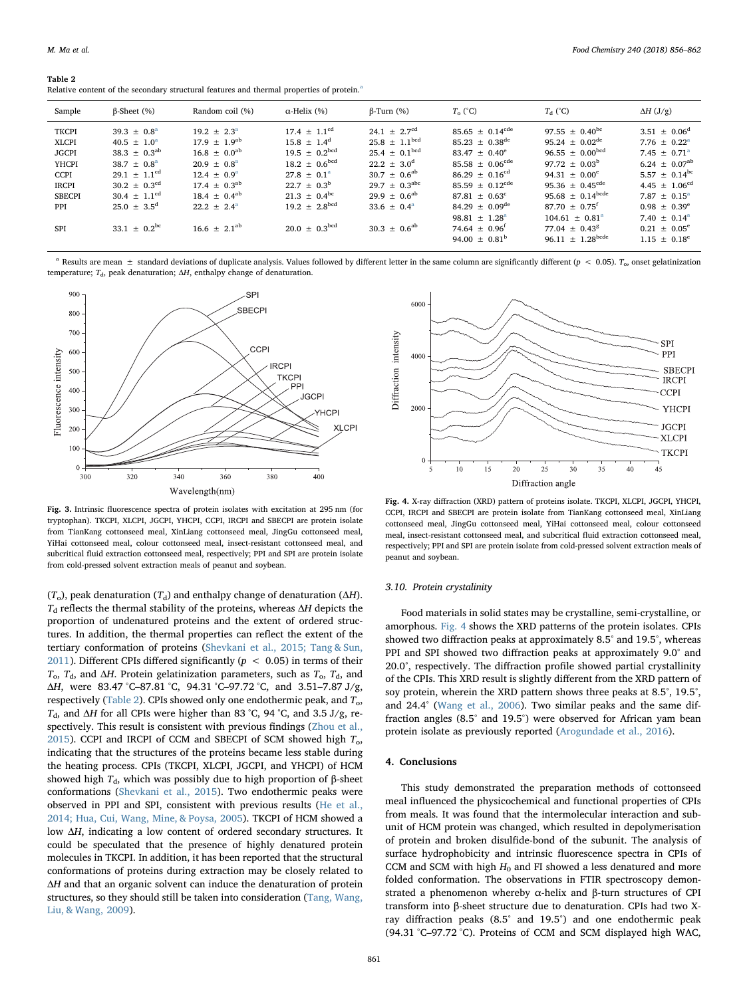<span id="page-5-0"></span>

| Table 2                                                                                               |  |  |
|-------------------------------------------------------------------------------------------------------|--|--|
| Relative content of the secondary structural features and thermal properties of protein. <sup>a</sup> |  |  |

| Sample                                                                                                              | $\beta$ -Sheet $(\% )$                                                                                                                                                                                               | Random coil (%)                                                                                                                                                                                   | $\alpha$ -Helix (%)                                                                                                                                                                                                                          | $\beta$ -Turn $(\%)$                                                                                                                                                                                                       | $T_{0}$ (°C)                                                                                                                                                                                                                                                                                       | $T_{\rm d}$ (°C)                                                                                                                                                                                                                                                                    | $\Delta H$ (J/g)                                                                                                                                                                                                                                             |
|---------------------------------------------------------------------------------------------------------------------|----------------------------------------------------------------------------------------------------------------------------------------------------------------------------------------------------------------------|---------------------------------------------------------------------------------------------------------------------------------------------------------------------------------------------------|----------------------------------------------------------------------------------------------------------------------------------------------------------------------------------------------------------------------------------------------|----------------------------------------------------------------------------------------------------------------------------------------------------------------------------------------------------------------------------|----------------------------------------------------------------------------------------------------------------------------------------------------------------------------------------------------------------------------------------------------------------------------------------------------|-------------------------------------------------------------------------------------------------------------------------------------------------------------------------------------------------------------------------------------------------------------------------------------|--------------------------------------------------------------------------------------------------------------------------------------------------------------------------------------------------------------------------------------------------------------|
| <b>TKCPI</b><br><b>XLCPI</b><br><b>JGCPI</b><br>YHCPI<br>CCPI<br><b>IRCPI</b><br><b>SBECPI</b><br><b>PPI</b><br>SPI | $39.3 + 0.8^a$<br>$40.5 \pm 1.0^a$<br>$38.3 \pm 0.3^{ab}$<br>$38.7 + 0.8^{\circ}$<br>$29.1 + 1.1$ <sup>cd</sup><br>$30.2 \pm 0.3$ <sup>cd</sup><br>$30.4 \pm 1.1^{\text{cd}}$<br>$25.0 + 3.5^d$<br>$33.1 + 0.2^{bc}$ | $19.2 + 2.3^{\circ}$<br>$17.9 + 1.9^{ab}$<br>$16.8 \pm 0.0^{ab}$<br>$20.9 + 0.8^a$<br>$12.4 \pm 0.9^{\rm a}$<br>$17.4 \pm 0.3^{ab}$<br>$18.4 \pm 0.4^{ab}$<br>$22.2 + 2.4^a$<br>$16.6 + 2.1^{ab}$ | $17.4 + 1.1^{\text{cd}}$<br>$15.8 + 1.4^d$<br>$19.5 \pm 0.2^{\text{bcd}}$<br>$18.2 + 0.6^{bcd}$<br>$27.8 \pm 0.1^{\circ}$<br>$22.7 \pm 0.3^{\rm b}$<br>$21.3 \pm 0.4^{\rm bc}$<br>$19.2 \pm 2.8^{\text{bcd}}$<br>$20.0 \pm 0.3^{\text{bcd}}$ | $24.1 + 2.7^{\text{cd}}$<br>$25.8 \pm 1.1^{\text{bcd}}$<br>$25.4 \pm 0.1^{\text{bcd}}$<br>$22.2 + 3.0^d$<br>$30.7 + 0.6^{ab}$<br>$29.7 \pm 0.3^{\text{abc}}$<br>$29.9 \pm 0.6^{ab}$<br>$33.6 + 0.4^a$<br>$30.3 + 0.6^{ab}$ | $85.65 \pm 0.14^{\text{cde}}$<br>$85.23 \pm 0.38^{\text{de}}$<br>$83.47 \pm 0.40^e$<br>$85.58 + 0.06$ <sup>cde</sup><br>$86.29 + 0.16^{cd}$<br>$85.59 \pm 0.12^{\text{cde}}$<br>$87.81 + 0.63^c$<br>$84.29 + 0.09$ <sup>de</sup><br>98.81 $\pm$ 1.28 <sup>a</sup><br>74.64 $\pm$ 0.96 <sup>f</sup> | 97.55 $\pm$ 0.40 <sup>bc</sup><br>95.24 $\pm$ 0.02 <sup>de</sup><br>$96.55 \pm 0.00^{bcd}$<br>$97.72 + 0.03^b$<br>$94.31 + 0.00^e$<br>95.36 $\pm$ 0.45 <sup>cde</sup><br>$95.68 \pm 0.14^{\text{bcde}}$<br>$87.70 \pm 0.75$ <sup>f</sup><br>$104.61 + 0.81^a$<br>$77.04 \pm 0.43^8$ | $3.51 \pm 0.06^{\text{d}}$<br>$7.76 + 0.22^a$<br>$7.45 \pm 0.71^{\circ}$<br>$6.24 \pm 0.07^{ab}$<br>5.57 $\pm$ 0.14 <sup>bc</sup><br>4.45 $\pm$ 1.06 <sup>cd</sup><br>$7.87 + 0.15^a$<br>$0.98 + 0.39^e$<br>$7.40 \pm 0.14^{\circ}$<br>$0.21 + 0.05^{\circ}$ |
|                                                                                                                     |                                                                                                                                                                                                                      |                                                                                                                                                                                                   |                                                                                                                                                                                                                                              |                                                                                                                                                                                                                            | 94.00 $\pm$ 0.81 <sup>b</sup>                                                                                                                                                                                                                                                                      | 96.11 $\pm$ 1.28 <sup>bcde</sup>                                                                                                                                                                                                                                                    | $1.15 + 0.18^{\circ}$                                                                                                                                                                                                                                        |

<span id="page-5-3"></span><sup>&</sup>lt;sup>a</sup> Results are mean  $\pm$  standard deviations of duplicate analysis. Values followed by different letter in the same column are significantly different ( $p < 0.05$ ).  $T_{\text{o}}$ , onset gelatinization temperature;  $T<sub>d</sub>$ , peak denaturation;  $\Delta H$ , enthalpy change of denaturation.

<span id="page-5-1"></span>

Fig. 3. Intrinsic fluorescence spectra of protein isolates with excitation at 295 nm (for tryptophan). TKCPI, XLCPI, JGCPI, YHCPI, CCPI, IRCPI and SBECPI are protein isolate from TianKang cottonseed meal, XinLiang cottonseed meal, JingGu cottonseed meal, YiHai cottonseed meal, colour cottonseed meal, insect-resistant cottonseed meal, and subcritical fluid extraction cottonseed meal, respectively; PPI and SPI are protein isolate from cold-pressed solvent extraction meals of peanut and soybean.

( $T_o$ ), peak denaturation ( $T_d$ ) and enthalpy change of denaturation ( $\Delta H$ ).  $T<sub>d</sub>$  reflects the thermal stability of the proteins, whereas  $\Delta H$  depicts the proportion of undenatured proteins and the extent of ordered structures. In addition, the thermal properties can reflect the extent of the tertiary conformation of proteins ([Shevkani et al., 2015; Tang & Sun,](#page-6-8) [2011\)](#page-6-8). Different CPIs differed significantly ( $p < 0.05$ ) in terms of their  $T_0$ ,  $T_d$ , and  $\Delta H$ . Protein gelatinization parameters, such as  $T_0$ ,  $T_d$ , and ΔH, were 83.47 °C–87.81 °C, 94.31 °C–97.72 °C, and 3.51–7.87 J/g, respectively ([Table 2\)](#page-5-0). CPIs showed only one endothermic peak, and  $T_0$ ,  $T_d$ , and ΔH for all CPIs were higher than 83 °C, 94 °C, and 3.5 J/g, respectively. This result is consistent with previous findings [\(Zhou et al.,](#page-6-0) [2015\)](#page-6-0). CCPI and IRCPI of CCM and SBECPI of SCM showed high  $T_0$ , indicating that the structures of the proteins became less stable during the heating process. CPIs (TKCPI, XLCPI, JGCPI, and YHCPI) of HCM showed high  $T_d$ , which was possibly due to high proportion of β-sheet conformations ([Shevkani et al., 2015\)](#page-6-8). Two endothermic peaks were observed in PPI and SPI, consistent with previous results [\(He et al.,](#page-6-25) [2014; Hua, Cui, Wang, Mine, & Poysa, 2005](#page-6-25)). TKCPI of HCM showed a low ΔH, indicating a low content of ordered secondary structures. It could be speculated that the presence of highly denatured protein molecules in TKCPI. In addition, it has been reported that the structural conformations of proteins during extraction may be closely related to ΔH and that an organic solvent can induce the denaturation of protein structures, so they should still be taken into consideration ([Tang, Wang,](#page-6-32) [Liu, & Wang, 2009\)](#page-6-32).

<span id="page-5-2"></span>

Fig. 4. X-ray diffraction (XRD) pattern of proteins isolate. TKCPI, XLCPI, JGCPI, YHCPI, CCPI, IRCPI and SBECPI are protein isolate from TianKang cottonseed meal, XinLiang cottonseed meal, JingGu cottonseed meal, YiHai cottonseed meal, colour cottonseed meal, insect-resistant cottonseed meal, and subcritical fluid extraction cottonseed meal, respectively; PPI and SPI are protein isolate from cold-pressed solvent extraction meals of peanut and soybean.

#### 3.10. Protein crystalinity

Food materials in solid states may be crystalline, semi-crystalline, or amorphous. [Fig. 4](#page-5-2) shows the XRD patterns of the protein isolates. CPIs showed two diffraction peaks at approximately 8.5° and 19.5°, whereas PPI and SPI showed two diffraction peaks at approximately 9.0° and 20.0°, respectively. The diffraction profile showed partial crystallinity of the CPIs. This XRD result is slightly different from the XRD pattern of soy protein, wherein the XRD pattern shows three peaks at 8.5°, 19.5°, and 24.4° ([Wang et al., 2006](#page-6-33)). Two similar peaks and the same diffraction angles (8.5° and 19.5°) were observed for African yam bean protein isolate as previously reported [\(Arogundade et al., 2016\)](#page-6-11).

## 4. Conclusions

This study demonstrated the preparation methods of cottonseed meal influenced the physicochemical and functional properties of CPIs from meals. It was found that the intermolecular interaction and subunit of HCM protein was changed, which resulted in depolymerisation of protein and broken disulfide-bond of the subunit. The analysis of surface hydrophobicity and intrinsic fluorescence spectra in CPIs of CCM and SCM with high  $H_0$  and FI showed a less denatured and more folded conformation. The observations in FTIR spectroscopy demonstrated a phenomenon whereby α-helix and β-turn structures of CPI transform into β-sheet structure due to denaturation. CPIs had two Xray diffraction peaks (8.5° and 19.5°) and one endothermic peak (94.31 °C–97.72 °C). Proteins of CCM and SCM displayed high WAC,